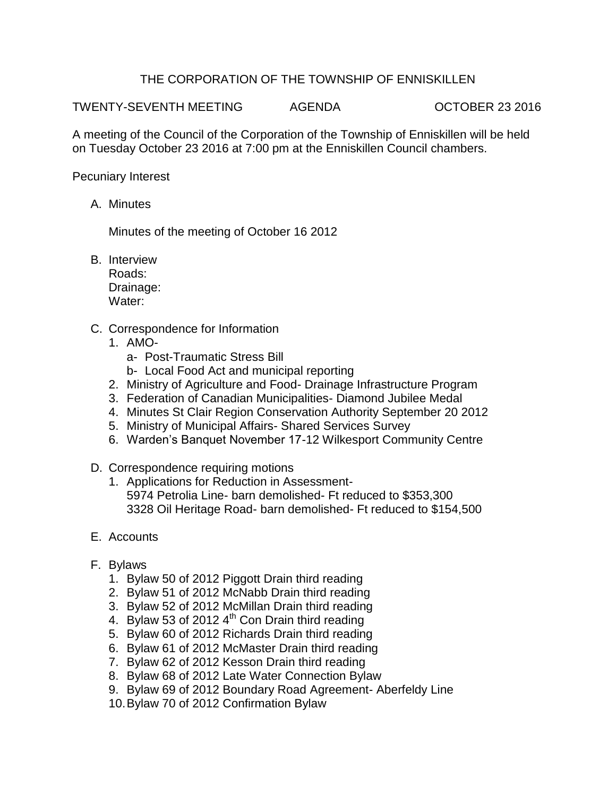## THE CORPORATION OF THE TOWNSHIP OF ENNISKILLEN

TWENTY-SEVENTH MEETING AGENDA OCTOBER 23 2016

A meeting of the Council of the Corporation of the Township of Enniskillen will be held on Tuesday October 23 2016 at 7:00 pm at the Enniskillen Council chambers.

Pecuniary Interest

A. Minutes

Minutes of the meeting of October 16 2012

B. Interview Roads:

Drainage: Water:

- C. Correspondence for Information
	- 1. AMO
		- a- Post-Traumatic Stress Bill
		- b- Local Food Act and municipal reporting
	- 2. Ministry of Agriculture and Food- Drainage Infrastructure Program
	- 3. Federation of Canadian Municipalities- Diamond Jubilee Medal
	- 4. Minutes St Clair Region Conservation Authority September 20 2012
	- 5. Ministry of Municipal Affairs- Shared Services Survey
	- 6. Warden's Banquet November 17-12 Wilkesport Community Centre
- D. Correspondence requiring motions
	- 1. Applications for Reduction in Assessment-5974 Petrolia Line- barn demolished- Ft reduced to \$353,300 3328 Oil Heritage Road- barn demolished- Ft reduced to \$154,500
- E. Accounts
- F. Bylaws
	- 1. Bylaw 50 of 2012 Piggott Drain third reading
	- 2. Bylaw 51 of 2012 McNabb Drain third reading
	- 3. Bylaw 52 of 2012 McMillan Drain third reading
	- 4. Bylaw 53 of 2012  $4<sup>th</sup>$  Con Drain third reading
	- 5. Bylaw 60 of 2012 Richards Drain third reading
	- 6. Bylaw 61 of 2012 McMaster Drain third reading
	- 7. Bylaw 62 of 2012 Kesson Drain third reading
	- 8. Bylaw 68 of 2012 Late Water Connection Bylaw
	- 9. Bylaw 69 of 2012 Boundary Road Agreement- Aberfeldy Line
	- 10.Bylaw 70 of 2012 Confirmation Bylaw